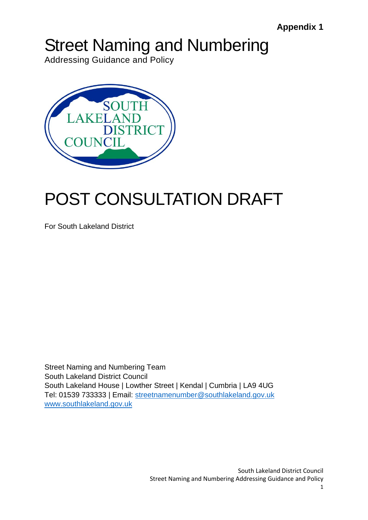# Street Naming and Numbering

Addressing Guidance and Policy



# POST CONSULTATION DRAFT

For South Lakeland District

Street Naming and Numbering Team South Lakeland District Council South Lakeland House | Lowther Street | Kendal | Cumbria | LA9 4UG Tel: 01539 733333 | Email: [streetnamenumber@southlakeland.gov.uk](mailto:streetnamenumber@southlakeland.gov.uk) [www.southlakeland.gov.uk](http://www.southlakeland.gov.uk/)

> South Lakeland District Council Street Naming and Numbering Addressing Guidance and Policy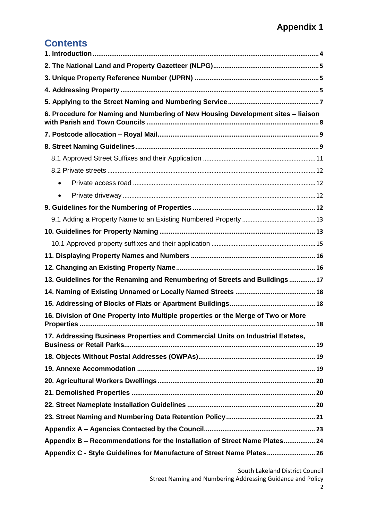### **Contents**

| 6. Procedure for Naming and Numbering of New Housing Development sites - liaison  |  |  |  |
|-----------------------------------------------------------------------------------|--|--|--|
|                                                                                   |  |  |  |
|                                                                                   |  |  |  |
|                                                                                   |  |  |  |
|                                                                                   |  |  |  |
| $\bullet$                                                                         |  |  |  |
|                                                                                   |  |  |  |
|                                                                                   |  |  |  |
|                                                                                   |  |  |  |
|                                                                                   |  |  |  |
|                                                                                   |  |  |  |
|                                                                                   |  |  |  |
|                                                                                   |  |  |  |
| 13. Guidelines for the Renaming and Renumbering of Streets and Buildings  17      |  |  |  |
|                                                                                   |  |  |  |
|                                                                                   |  |  |  |
| 16. Division of One Property into Multiple properties or the Merge of Two or More |  |  |  |
| 17. Addressing Business Properties and Commercial Units on Industrial Estates,    |  |  |  |
|                                                                                   |  |  |  |
|                                                                                   |  |  |  |
|                                                                                   |  |  |  |
|                                                                                   |  |  |  |
|                                                                                   |  |  |  |
|                                                                                   |  |  |  |
|                                                                                   |  |  |  |
| Appendix B - Recommendations for the Installation of Street Name Plates 24        |  |  |  |
| Appendix C - Style Guidelines for Manufacture of Street Name Plates 26            |  |  |  |

South Lakeland District Council

Street Naming and Numbering Addressing Guidance and Policy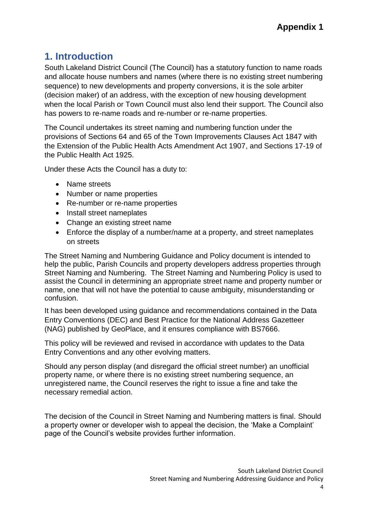## <span id="page-3-0"></span>**1. Introduction**

South Lakeland District Council (The Council) has a statutory function to name roads and allocate house numbers and names (where there is no existing street numbering sequence) to new developments and property conversions, it is the sole arbiter (decision maker) of an address, with the exception of new housing development when the local Parish or Town Council must also lend their support. The Council also has powers to re-name roads and re-number or re-name properties.

The Council undertakes its street naming and numbering function under the provisions of Sections 64 and 65 of the Town Improvements Clauses Act 1847 with the Extension of the Public Health Acts Amendment Act 1907, and Sections 17-19 of the Public Health Act 1925.

Under these Acts the Council has a duty to:

- Name streets
- Number or name properties
- Re-number or re-name properties
- Install street nameplates
- Change an existing street name
- Enforce the display of a number/name at a property, and street nameplates on streets

The Street Naming and Numbering Guidance and Policy document is intended to help the public, Parish Councils and property developers address properties through Street Naming and Numbering. The Street Naming and Numbering Policy is used to assist the Council in determining an appropriate street name and property number or name, one that will not have the potential to cause ambiguity, misunderstanding or confusion.

It has been developed using guidance and recommendations contained in the Data Entry Conventions (DEC) and Best Practice for the National Address Gazetteer (NAG) published by GeoPlace, and it ensures compliance with BS7666.

This policy will be reviewed and revised in accordance with updates to the Data Entry Conventions and any other evolving matters.

Should any person display (and disregard the official street number) an unofficial property name, or where there is no existing street numbering sequence, an unregistered name, the Council reserves the right to issue a fine and take the necessary remedial action.

The decision of the Council in Street Naming and Numbering matters is final. Should a property owner or developer wish to appeal the decision, the 'Make a Complaint' page of the Council's website provides further information.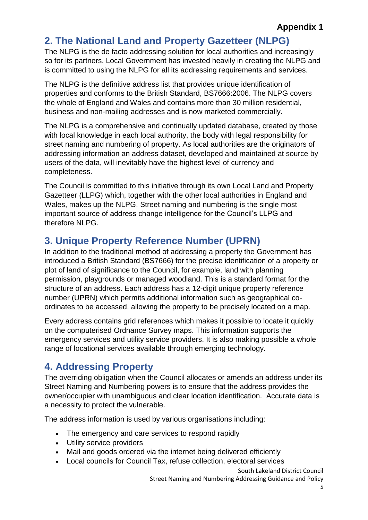## <span id="page-4-0"></span>**2. The National Land and Property Gazetteer (NLPG)**

The NLPG is the de facto addressing solution for local authorities and increasingly so for its partners. Local Government has invested heavily in creating the NLPG and is committed to using the NLPG for all its addressing requirements and services.

The NLPG is the definitive address list that provides unique identification of properties and conforms to the British Standard, BS7666:2006. The NLPG covers the whole of England and Wales and contains more than 30 million residential, business and non-mailing addresses and is now marketed commercially.

The NLPG is a comprehensive and continually updated database, created by those with local knowledge in each local authority, the body with legal responsibility for street naming and numbering of property. As local authorities are the originators of addressing information an address dataset, developed and maintained at source by users of the data, will inevitably have the highest level of currency and completeness.

The Council is committed to this initiative through its own Local Land and Property Gazetteer (LLPG) which, together with the other local authorities in England and Wales, makes up the NLPG. Street naming and numbering is the single most important source of address change intelligence for the Council's LLPG and therefore NLPG.

# <span id="page-4-1"></span>**3. Unique Property Reference Number (UPRN)**

In addition to the traditional method of addressing a property the Government has introduced a British Standard (BS7666) for the precise identification of a property or plot of land of significance to the Council, for example, land with planning permission, playgrounds or managed woodland. This is a standard format for the structure of an address. Each address has a 12-digit unique property reference number (UPRN) which permits additional information such as geographical coordinates to be accessed, allowing the property to be precisely located on a map.

Every address contains grid references which makes it possible to locate it quickly on the computerised Ordnance Survey maps. This information supports the emergency services and utility service providers. It is also making possible a whole range of locational services available through emerging technology.

# <span id="page-4-2"></span>**4. Addressing Property**

The overriding obligation when the Council allocates or amends an address under its Street Naming and Numbering powers is to ensure that the address provides the owner/occupier with unambiguous and clear location identification. Accurate data is a necessity to protect the vulnerable.

The address information is used by various organisations including:

- The emergency and care services to respond rapidly
- Utility service providers
- Mail and goods ordered via the internet being delivered efficiently
- Local councils for Council Tax, refuse collection, electoral services

South Lakeland District Council

Street Naming and Numbering Addressing Guidance and Policy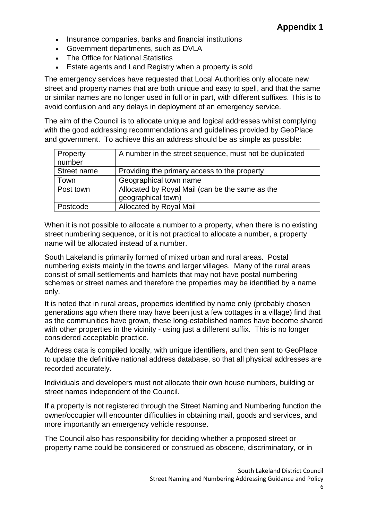- Insurance companies, banks and financial institutions
- Government departments, such as DVLA
- The Office for National Statistics
- Estate agents and Land Registry when a property is sold

The emergency services have requested that Local Authorities only allocate new street and property names that are both unique and easy to spell, and that the same or similar names are no longer used in full or in part, with different suffixes. This is to avoid confusion and any delays in deployment of an emergency service.

The aim of the Council is to allocate unique and logical addresses whilst complying with the good addressing recommendations and guidelines provided by GeoPlace and government. To achieve this an address should be as simple as possible:

| Property    | A number in the street sequence, must not be duplicated |
|-------------|---------------------------------------------------------|
| number      |                                                         |
| Street name | Providing the primary access to the property            |
| Town        | Geographical town name                                  |
| Post town   | Allocated by Royal Mail (can be the same as the         |
|             | geographical town)                                      |
| Postcode    | Allocated by Royal Mail                                 |

When it is not possible to allocate a number to a property, when there is no existing street numbering sequence, or it is not practical to allocate a number, a property name will be allocated instead of a number.

South Lakeland is primarily formed of mixed urban and rural areas. Postal numbering exists mainly in the towns and larger villages. Many of the rural areas consist of small settlements and hamlets that may not have postal numbering schemes or street names and therefore the properties may be identified by a name only.

It is noted that in rural areas, properties identified by name only (probably chosen generations ago when there may have been just a few cottages in a village) find that as the communities have grown, these long-established names have become shared with other properties in the vicinity - using just a different suffix. This is no longer considered acceptable practice.

Address data is compiled locally, with unique identifiers**,** and then sent to GeoPlace to update the definitive national address database, so that all physical addresses are recorded accurately.

Individuals and developers must not allocate their own house numbers, building or street names independent of the Council.

If a property is not registered through the Street Naming and Numbering function the owner/occupier will encounter difficulties in obtaining mail, goods and services, and more importantly an emergency vehicle response.

The Council also has responsibility for deciding whether a proposed street or property name could be considered or construed as obscene, discriminatory, or in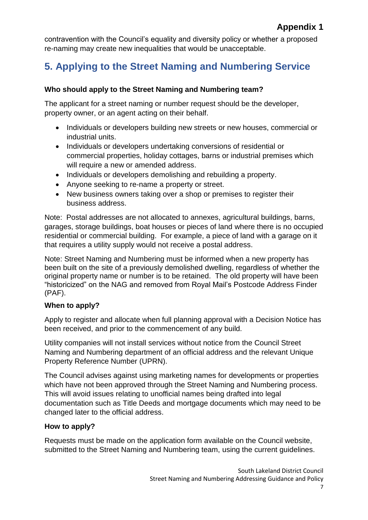contravention with the Council's equality and diversity policy or whether a proposed re-naming may create new inequalities that would be unacceptable.

# <span id="page-6-0"></span>**5. Applying to the Street Naming and Numbering Service**

#### **Who should apply to the Street Naming and Numbering team?**

The applicant for a street naming or number request should be the developer, property owner, or an agent acting on their behalf.

- Individuals or developers building new streets or new houses, commercial or industrial units.
- Individuals or developers undertaking conversions of residential or commercial properties, holiday cottages, barns or industrial premises which will require a new or amended address.
- Individuals or developers demolishing and rebuilding a property.
- Anyone seeking to re-name a property or street.
- New business owners taking over a shop or premises to register their business address.

Note: Postal addresses are not allocated to annexes, agricultural buildings, barns, garages, storage buildings, boat houses or pieces of land where there is no occupied residential or commercial building. For example, a piece of land with a garage on it that requires a utility supply would not receive a postal address.

Note: Street Naming and Numbering must be informed when a new property has been built on the site of a previously demolished dwelling, regardless of whether the original property name or number is to be retained. The old property will have been "historicized" on the NAG and removed from Royal Mail's Postcode Address Finder (PAF).

#### **When to apply?**

Apply to register and allocate when full planning approval with a Decision Notice has been received, and prior to the commencement of any build.

Utility companies will not install services without notice from the Council Street Naming and Numbering department of an official address and the relevant Unique Property Reference Number (UPRN).

The Council advises against using marketing names for developments or properties which have not been approved through the Street Naming and Numbering process. This will avoid issues relating to unofficial names being drafted into legal documentation such as Title Deeds and mortgage documents which may need to be changed later to the official address.

#### **How to apply?**

Requests must be made on the application form available on the Council website, submitted to the Street Naming and Numbering team, using the current guidelines.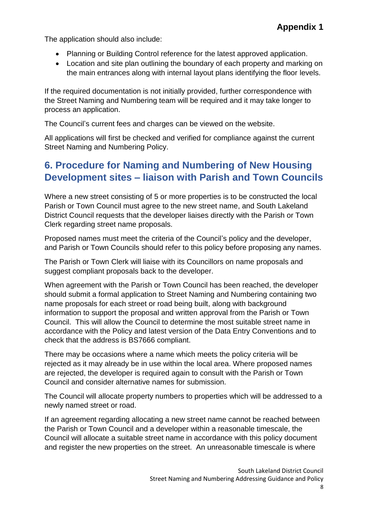The application should also include:

- Planning or Building Control reference for the latest approved application.
- Location and site plan outlining the boundary of each property and marking on the main entrances along with internal layout plans identifying the floor levels.

If the required documentation is not initially provided, further correspondence with the Street Naming and Numbering team will be required and it may take longer to process an application.

The Council's current fees and charges can be viewed on the website.

All applications will first be checked and verified for compliance against the current Street Naming and Numbering Policy.

### <span id="page-7-0"></span>**6. Procedure for Naming and Numbering of New Housing Development sites – liaison with Parish and Town Councils**

Where a new street consisting of 5 or more properties is to be constructed the local Parish or Town Council must agree to the new street name, and South Lakeland District Council requests that the developer liaises directly with the Parish or Town Clerk regarding street name proposals.

Proposed names must meet the criteria of the Council's policy and the developer, and Parish or Town Councils should refer to this policy before proposing any names.

The Parish or Town Clerk will liaise with its Councillors on name proposals and suggest compliant proposals back to the developer.

When agreement with the Parish or Town Council has been reached, the developer should submit a formal application to Street Naming and Numbering containing two name proposals for each street or road being built, along with background information to support the proposal and written approval from the Parish or Town Council. This will allow the Council to determine the most suitable street name in accordance with the Policy and latest version of the Data Entry Conventions and to check that the address is BS7666 compliant.

There may be occasions where a name which meets the policy criteria will be rejected as it may already be in use within the local area. Where proposed names are rejected, the developer is required again to consult with the Parish or Town Council and consider alternative names for submission.

The Council will allocate property numbers to properties which will be addressed to a newly named street or road.

If an agreement regarding allocating a new street name cannot be reached between the Parish or Town Council and a developer within a reasonable timescale, the Council will allocate a suitable street name in accordance with this policy document and register the new properties on the street. An unreasonable timescale is where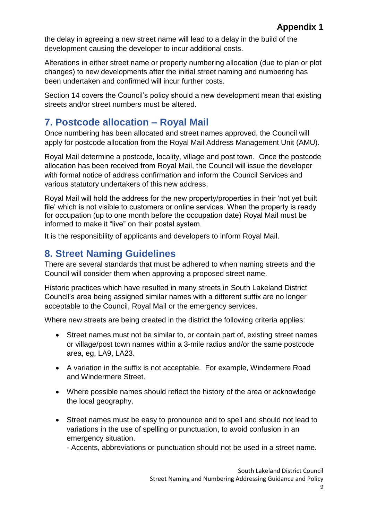the delay in agreeing a new street name will lead to a delay in the build of the development causing the developer to incur additional costs.

Alterations in either street name or property numbering allocation (due to plan or plot changes) to new developments after the initial street naming and numbering has been undertaken and confirmed will incur further costs.

Section 14 covers the Council's policy should a new development mean that existing streets and/or street numbers must be altered.

## <span id="page-8-0"></span>**7. Postcode allocation – Royal Mail**

Once numbering has been allocated and street names approved, the Council will apply for postcode allocation from the Royal Mail Address Management Unit (AMU).

Royal Mail determine a postcode, locality, village and post town. Once the postcode allocation has been received from Royal Mail, the Council will issue the developer with formal notice of address confirmation and inform the Council Services and various statutory undertakers of this new address.

Royal Mail will hold the address for the new property/properties in their 'not yet built file' which is not visible to customers or online services. When the property is ready for occupation (up to one month before the occupation date) Royal Mail must be informed to make it "live" on their postal system.

It is the responsibility of applicants and developers to inform Royal Mail.

#### <span id="page-8-1"></span>**8. Street Naming Guidelines**

There are several standards that must be adhered to when naming streets and the Council will consider them when approving a proposed street name.

Historic practices which have resulted in many streets in South Lakeland District Council's area being assigned similar names with a different suffix are no longer acceptable to the Council, Royal Mail or the emergency services.

Where new streets are being created in the district the following criteria applies:

- Street names must not be similar to, or contain part of, existing street names or village/post town names within a 3-mile radius and/or the same postcode area, eg, LA9, LA23.
- A variation in the suffix is not acceptable. For example, Windermere Road and Windermere Street.
- Where possible names should reflect the history of the area or acknowledge the local geography.
- Street names must be easy to pronounce and to spell and should not lead to variations in the use of spelling or punctuation, to avoid confusion in an emergency situation.

- Accents, abbreviations or punctuation should not be used in a street name.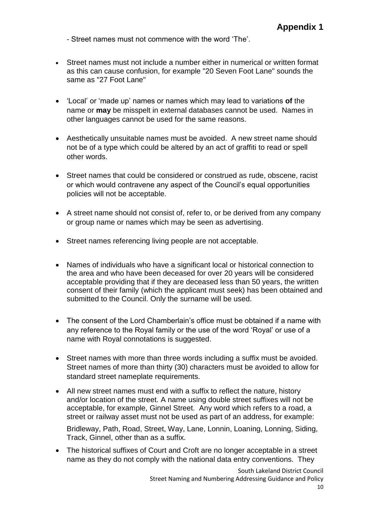- Street names must not commence with the word 'The'.

- Street names must not include a number either in numerical or written format as this can cause confusion, for example "20 Seven Foot Lane" sounds the same as "27 Foot Lane"
- 'Local' or 'made up' names or names which may lead to variations **of** the name or **may** be misspelt in external databases cannot be used. Names in other languages cannot be used for the same reasons.
- Aesthetically unsuitable names must be avoided. A new street name should not be of a type which could be altered by an act of graffiti to read or spell other words.
- Street names that could be considered or construed as rude, obscene, racist or which would contravene any aspect of the Council's equal opportunities policies will not be acceptable.
- A street name should not consist of, refer to, or be derived from any company or group name or names which may be seen as advertising.
- Street names referencing living people are not acceptable.
- Names of individuals who have a significant local or historical connection to the area and who have been deceased for over 20 years will be considered acceptable providing that if they are deceased less than 50 years, the written consent of their family (which the applicant must seek) has been obtained and submitted to the Council. Only the surname will be used.
- The consent of the Lord Chamberlain's office must be obtained if a name with any reference to the Royal family or the use of the word 'Royal' or use of a name with Royal connotations is suggested.
- Street names with more than three words including a suffix must be avoided. Street names of more than thirty (30) characters must be avoided to allow for standard street nameplate requirements.
- All new street names must end with a suffix to reflect the nature, history and/or location of the street. A name using double street suffixes will not be acceptable, for example, Ginnel Street. Any word which refers to a road, a street or railway asset must not be used as part of an address, for example:

Bridleway, Path, Road, Street, Way, Lane, Lonnin, Loaning, Lonning, Siding, Track, Ginnel, other than as a suffix.

 The historical suffixes of Court and Croft are no longer acceptable in a street name as they do not comply with the national data entry conventions. They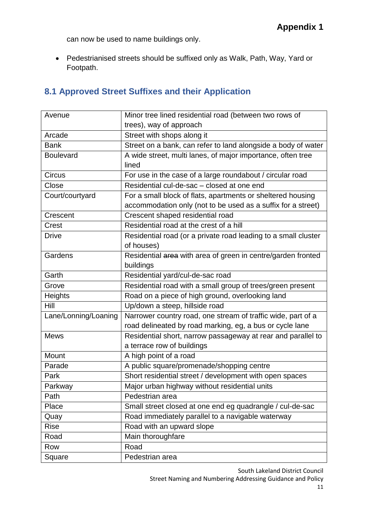can now be used to name buildings only.

 Pedestrianised streets should be suffixed only as Walk, Path, Way, Yard or Footpath.

#### <span id="page-10-0"></span>**8.1 Approved Street Suffixes and their Application**

| Avenue               | Minor tree lined residential road (between two rows of         |  |  |
|----------------------|----------------------------------------------------------------|--|--|
|                      | trees), way of approach                                        |  |  |
| Arcade               | Street with shops along it                                     |  |  |
| <b>Bank</b>          | Street on a bank, can refer to land alongside a body of water  |  |  |
| <b>Boulevard</b>     | A wide street, multi lanes, of major importance, often tree    |  |  |
|                      | lined                                                          |  |  |
| <b>Circus</b>        | For use in the case of a large roundabout / circular road      |  |  |
| Close                | Residential cul-de-sac - closed at one end                     |  |  |
| Court/courtyard      | For a small block of flats, apartments or sheltered housing    |  |  |
|                      | accommodation only (not to be used as a suffix for a street)   |  |  |
| Crescent             | Crescent shaped residential road                               |  |  |
| Crest                | Residential road at the crest of a hill                        |  |  |
| <b>Drive</b>         | Residential road (or a private road leading to a small cluster |  |  |
|                      | of houses)                                                     |  |  |
| Gardens              | Residential area with area of green in centre/garden fronted   |  |  |
|                      | buildings                                                      |  |  |
| Garth                | Residential yard/cul-de-sac road                               |  |  |
| Grove                | Residential road with a small group of trees/green present     |  |  |
| Heights              | Road on a piece of high ground, overlooking land               |  |  |
| <b>Hill</b>          | Up/down a steep, hillside road                                 |  |  |
| Lane/Lonning/Loaning | Narrower country road, one stream of traffic wide, part of a   |  |  |
|                      | road delineated by road marking, eg, a bus or cycle lane       |  |  |
| <b>Mews</b>          | Residential short, narrow passageway at rear and parallel to   |  |  |
|                      | a terrace row of buildings                                     |  |  |
| Mount                | A high point of a road                                         |  |  |
| Parade               | A public square/promenade/shopping centre                      |  |  |
| Park                 | Short residential street / development with open spaces        |  |  |
| Parkway              | Major urban highway without residential units                  |  |  |
| Path                 | Pedestrian area                                                |  |  |
| Place                | Small street closed at one end eg quadrangle / cul-de-sac      |  |  |
| Quay                 | Road immediately parallel to a navigable waterway              |  |  |
| <b>Rise</b>          | Road with an upward slope                                      |  |  |
| Road                 | Main thoroughfare                                              |  |  |
| Row                  | Road                                                           |  |  |
| Square               | Pedestrian area                                                |  |  |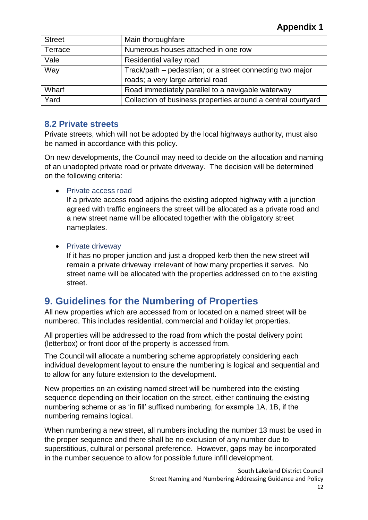| <b>Street</b> | Main thoroughfare                                            |  |
|---------------|--------------------------------------------------------------|--|
| Terrace       | Numerous houses attached in one row                          |  |
| Vale          | Residential valley road                                      |  |
| Way           | Track/path – pedestrian; or a street connecting two major    |  |
|               | roads; a very large arterial road                            |  |
| Wharf         | Road immediately parallel to a navigable waterway            |  |
| Yard          | Collection of business properties around a central courtyard |  |

#### <span id="page-11-0"></span>**8.2 Private streets**

Private streets, which will not be adopted by the local highways authority, must also be named in accordance with this policy.

On new developments, the Council may need to decide on the allocation and naming of an unadopted private road or private driveway. The decision will be determined on the following criteria:

<span id="page-11-1"></span>• Private access road

If a private access road adjoins the existing adopted highway with a junction agreed with traffic engineers the street will be allocated as a private road and a new street name will be allocated together with the obligatory street nameplates.

<span id="page-11-2"></span>• Private driveway

If it has no proper junction and just a dropped kerb then the new street will remain a private driveway irrelevant of how many properties it serves. No street name will be allocated with the properties addressed on to the existing street.

#### <span id="page-11-3"></span>**9. Guidelines for the Numbering of Properties**

All new properties which are accessed from or located on a named street will be numbered. This includes residential, commercial and holiday let properties.

All properties will be addressed to the road from which the postal delivery point (letterbox) or front door of the property is accessed from.

The Council will allocate a numbering scheme appropriately considering each individual development layout to ensure the numbering is logical and sequential and to allow for any future extension to the development.

New properties on an existing named street will be numbered into the existing sequence depending on their location on the street, either continuing the existing numbering scheme or as 'in fill' suffixed numbering, for example 1A, 1B, if the numbering remains logical.

When numbering a new street, all numbers including the number 13 must be used in the proper sequence and there shall be no exclusion of any number due to superstitious, cultural or personal preference. However, gaps may be incorporated in the number sequence to allow for possible future infill development.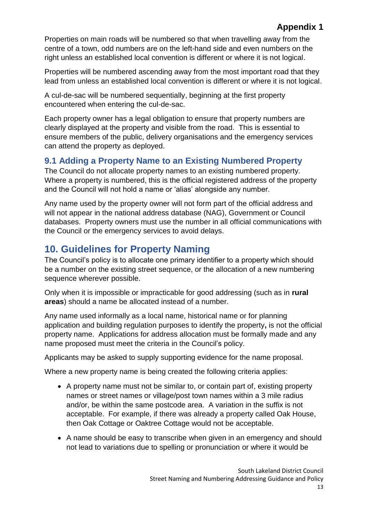Properties on main roads will be numbered so that when travelling away from the centre of a town, odd numbers are on the left-hand side and even numbers on the right unless an established local convention is different or where it is not logical.

Properties will be numbered ascending away from the most important road that they lead from unless an established local convention is different or where it is not logical.

A cul-de-sac will be numbered sequentially, beginning at the first property encountered when entering the cul-de-sac.

Each property owner has a legal obligation to ensure that property numbers are clearly displayed at the property and visible from the road. This is essential to ensure members of the public, delivery organisations and the emergency services can attend the property as deployed.

#### <span id="page-12-0"></span>**9.1 Adding a Property Name to an Existing Numbered Property**

The Council do not allocate property names to an existing numbered property. Where a property is numbered, this is the official registered address of the property and the Council will not hold a name or 'alias' alongside any number.

Any name used by the property owner will not form part of the official address and will not appear in the national address database (NAG), Government or Council databases. Property owners must use the number in all official communications with the Council or the emergency services to avoid delays.

## <span id="page-12-1"></span>**10. Guidelines for Property Naming**

The Council's policy is to allocate one primary identifier to a property which should be a number on the existing street sequence, or the allocation of a new numbering sequence wherever possible.

Only when it is impossible or impracticable for good addressing (such as in **rural areas**) should a name be allocated instead of a number.

Any name used informally as a local name, historical name or for planning application and building regulation purposes to identify the property**,** is not the official property name. Applications for address allocation must be formally made and any name proposed must meet the criteria in the Council's policy.

Applicants may be asked to supply supporting evidence for the name proposal.

Where a new property name is being created the following criteria applies:

- A property name must not be similar to, or contain part of, existing property names or street names or village/post town names within a 3 mile radius and/or, be within the same postcode area. A variation in the suffix is not acceptable. For example, if there was already a property called Oak House, then Oak Cottage or Oaktree Cottage would not be acceptable.
- A name should be easy to transcribe when given in an emergency and should not lead to variations due to spelling or pronunciation or where it would be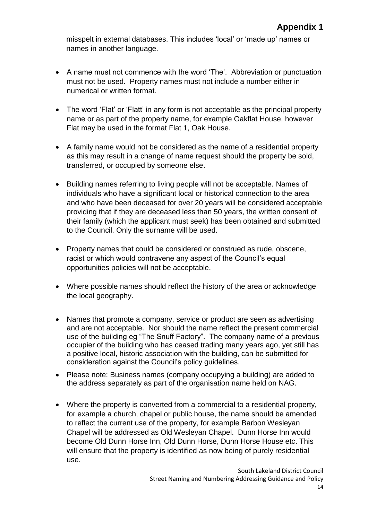misspelt in external databases. This includes 'local' or 'made up' names or names in another language.

- A name must not commence with the word 'The'. Abbreviation or punctuation must not be used. Property names must not include a number either in numerical or written format.
- The word 'Flat' or 'Flatt' in any form is not acceptable as the principal property name or as part of the property name, for example Oakflat House, however Flat may be used in the format Flat 1, Oak House.
- A family name would not be considered as the name of a residential property as this may result in a change of name request should the property be sold, transferred, or occupied by someone else.
- Building names referring to living people will not be acceptable. Names of individuals who have a significant local or historical connection to the area and who have been deceased for over 20 years will be considered acceptable providing that if they are deceased less than 50 years, the written consent of their family (which the applicant must seek) has been obtained and submitted to the Council. Only the surname will be used.
- Property names that could be considered or construed as rude, obscene, racist or which would contravene any aspect of the Council's equal opportunities policies will not be acceptable.
- Where possible names should reflect the history of the area or acknowledge the local geography.
- Names that promote a company, service or product are seen as advertising and are not acceptable. Nor should the name reflect the present commercial use of the building eg "The Snuff Factory". The company name of a previous occupier of the building who has ceased trading many years ago, yet still has a positive local, historic association with the building, can be submitted for consideration against the Council's policy guidelines.
- Please note: Business names (company occupying a building) are added to the address separately as part of the organisation name held on NAG.
- Where the property is converted from a commercial to a residential property, for example a church, chapel or public house, the name should be amended to reflect the current use of the property, for example Barbon Wesleyan Chapel will be addressed as Old Wesleyan Chapel. Dunn Horse Inn would become Old Dunn Horse Inn, Old Dunn Horse, Dunn Horse House etc. This will ensure that the property is identified as now being of purely residential use.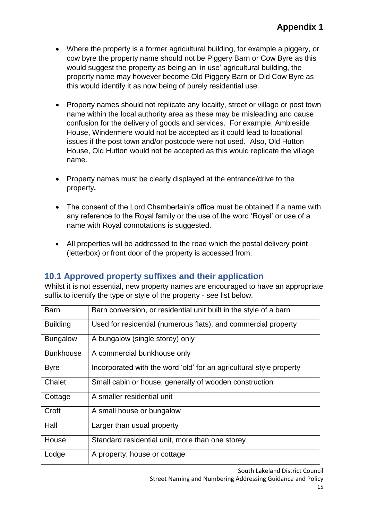- Where the property is a former agricultural building, for example a piggery, or cow byre the property name should not be Piggery Barn or Cow Byre as this would suggest the property as being an 'in use' agricultural building, the property name may however become Old Piggery Barn or Old Cow Byre as this would identify it as now being of purely residential use.
- Property names should not replicate any locality, street or village or post town name within the local authority area as these may be misleading and cause confusion for the delivery of goods and services. For example, Ambleside House, Windermere would not be accepted as it could lead to locational issues if the post town and/or postcode were not used. Also, Old Hutton House, Old Hutton would not be accepted as this would replicate the village name.
- Property names must be clearly displayed at the entrance/drive to the property**.**
- The consent of the Lord Chamberlain's office must be obtained if a name with any reference to the Royal family or the use of the word 'Royal' or use of a name with Royal connotations is suggested.
- All properties will be addressed to the road which the postal delivery point (letterbox) or front door of the property is accessed from.

#### <span id="page-14-0"></span>**10.1 Approved property suffixes and their application**

Whilst it is not essential, new property names are encouraged to have an appropriate suffix to identify the type or style of the property - see list below.

| Barn             | Barn conversion, or residential unit built in the style of a barn   |
|------------------|---------------------------------------------------------------------|
| <b>Building</b>  | Used for residential (numerous flats), and commercial property      |
| <b>Bungalow</b>  | A bungalow (single storey) only                                     |
| <b>Bunkhouse</b> | A commercial bunkhouse only                                         |
| <b>Byre</b>      | Incorporated with the word 'old' for an agricultural style property |
| Chalet           | Small cabin or house, generally of wooden construction              |
| Cottage          | A smaller residential unit                                          |
| Croft            | A small house or bungalow                                           |
| Hall             | Larger than usual property                                          |
| House            | Standard residential unit, more than one storey                     |
| Lodge            | A property, house or cottage                                        |

South Lakeland District Council

Street Naming and Numbering Addressing Guidance and Policy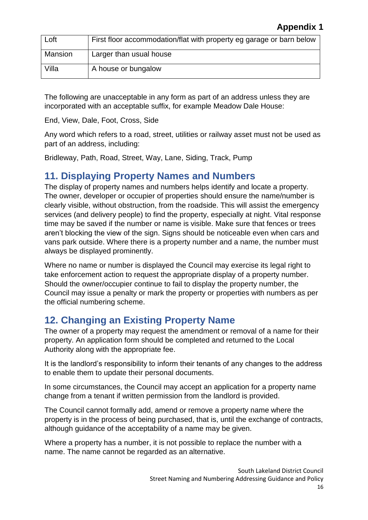| Loft    | First floor accommodation/flat with property eg garage or barn below |
|---------|----------------------------------------------------------------------|
| Mansion | Larger than usual house                                              |
| Villa   | A house or bungalow                                                  |

The following are unacceptable in any form as part of an address unless they are incorporated with an acceptable suffix, for example Meadow Dale House:

End, View, Dale, Foot, Cross, Side

Any word which refers to a road, street, utilities or railway asset must not be used as part of an address, including:

Bridleway, Path, Road, Street, Way, Lane, Siding, Track, Pump

#### <span id="page-15-0"></span>**11. Displaying Property Names and Numbers**

The display of property names and numbers helps identify and locate a property. The owner, developer or occupier of properties should ensure the name/number is clearly visible, without obstruction, from the roadside. This will assist the emergency services (and delivery people) to find the property, especially at night. Vital response time may be saved if the number or name is visible. Make sure that fences or trees aren't blocking the view of the sign. Signs should be noticeable even when cars and vans park outside. Where there is a property number and a name, the number must always be displayed prominently.

Where no name or number is displayed the Council may exercise its legal right to take enforcement action to request the appropriate display of a property number. Should the owner/occupier continue to fail to display the property number, the Council may issue a penalty or mark the property or properties with numbers as per the official numbering scheme.

### <span id="page-15-1"></span>**12. Changing an Existing Property Name**

The owner of a property may request the amendment or removal of a name for their property. An application form should be completed and returned to the Local Authority along with the appropriate fee.

It is the landlord's responsibility to inform their tenants of any changes to the address to enable them to update their personal documents.

In some circumstances, the Council may accept an application for a property name change from a tenant if written permission from the landlord is provided.

The Council cannot formally add, amend or remove a property name where the property is in the process of being purchased, that is, until the exchange of contracts, although guidance of the acceptability of a name may be given.

Where a property has a number, it is not possible to replace the number with a name. The name cannot be regarded as an alternative.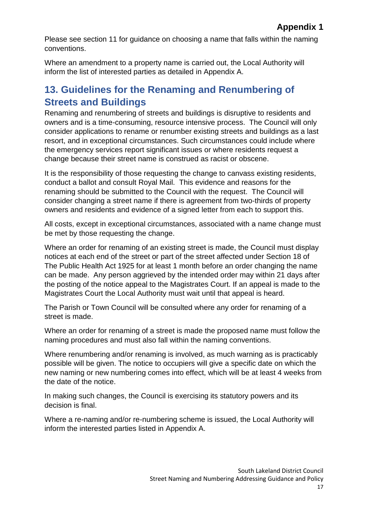Please see section 11 for guidance on choosing a name that falls within the naming conventions.

Where an amendment to a property name is carried out, the Local Authority will inform the list of interested parties as detailed in Appendix A.

# <span id="page-16-0"></span>**13. Guidelines for the Renaming and Renumbering of Streets and Buildings**

Renaming and renumbering of streets and buildings is disruptive to residents and owners and is a time-consuming, resource intensive process. The Council will only consider applications to rename or renumber existing streets and buildings as a last resort, and in exceptional circumstances. Such circumstances could include where the emergency services report significant issues or where residents request a change because their street name is construed as racist or obscene.

It is the responsibility of those requesting the change to canvass existing residents, conduct a ballot and consult Royal Mail. This evidence and reasons for the renaming should be submitted to the Council with the request. The Council will consider changing a street name if there is agreement from two-thirds of property owners and residents and evidence of a signed letter from each to support this.

All costs, except in exceptional circumstances, associated with a name change must be met by those requesting the change.

Where an order for renaming of an existing street is made, the Council must display notices at each end of the street or part of the street affected under Section 18 of The Public Health Act 1925 for at least 1 month before an order changing the name can be made. Any person aggrieved by the intended order may within 21 days after the posting of the notice appeal to the Magistrates Court. If an appeal is made to the Magistrates Court the Local Authority must wait until that appeal is heard.

The Parish or Town Council will be consulted where any order for renaming of a street is made.

Where an order for renaming of a street is made the proposed name must follow the naming procedures and must also fall within the naming conventions.

Where renumbering and/or renaming is involved, as much warning as is practicably possible will be given. The notice to occupiers will give a specific date on which the new naming or new numbering comes into effect, which will be at least 4 weeks from the date of the notice.

In making such changes, the Council is exercising its statutory powers and its decision is final.

Where a re-naming and/or re-numbering scheme is issued, the Local Authority will inform the interested parties listed in Appendix A.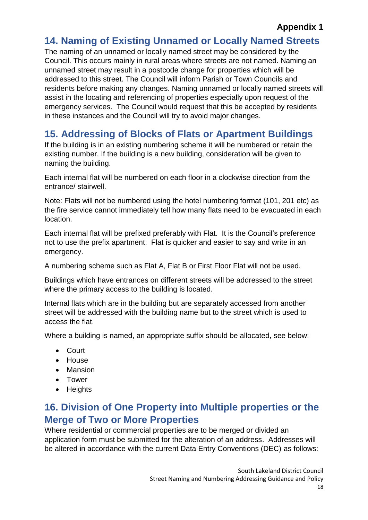#### <span id="page-17-0"></span>**14. Naming of Existing Unnamed or Locally Named Streets**

The naming of an unnamed or locally named street may be considered by the Council. This occurs mainly in rural areas where streets are not named. Naming an unnamed street may result in a postcode change for properties which will be addressed to this street. The Council will inform Parish or Town Councils and residents before making any changes. Naming unnamed or locally named streets will assist in the locating and referencing of properties especially upon request of the emergency services. The Council would request that this be accepted by residents in these instances and the Council will try to avoid major changes.

# <span id="page-17-1"></span>**15. Addressing of Blocks of Flats or Apartment Buildings**

If the building is in an existing numbering scheme it will be numbered or retain the existing number. If the building is a new building, consideration will be given to naming the building.

Each internal flat will be numbered on each floor in a clockwise direction from the entrance/ stairwell.

Note: Flats will not be numbered using the hotel numbering format (101, 201 etc) as the fire service cannot immediately tell how many flats need to be evacuated in each location.

Each internal flat will be prefixed preferably with Flat. It is the Council's preference not to use the prefix apartment. Flat is quicker and easier to say and write in an emergency.

A numbering scheme such as Flat A, Flat B or First Floor Flat will not be used.

Buildings which have entrances on different streets will be addressed to the street where the primary access to the building is located.

Internal flats which are in the building but are separately accessed from another street will be addressed with the building name but to the street which is used to access the flat.

Where a building is named, an appropriate suffix should be allocated, see below:

- Court
- House
- Mansion
- Tower
- Heights

#### <span id="page-17-2"></span>**16. Division of One Property into Multiple properties or the Merge of Two or More Properties**

Where residential or commercial properties are to be merged or divided an application form must be submitted for the alteration of an address. Addresses will be altered in accordance with the current Data Entry Conventions (DEC) as follows: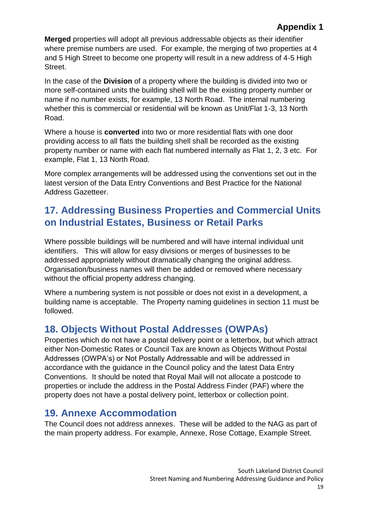**Merged** properties will adopt all previous addressable objects as their identifier where premise numbers are used. For example, the merging of two properties at 4 and 5 High Street to become one property will result in a new address of 4-5 High Street.

In the case of the **Division** of a property where the building is divided into two or more self-contained units the building shell will be the existing property number or name if no number exists, for example, 13 North Road. The internal numbering whether this is commercial or residential will be known as Unit/Flat 1-3, 13 North Road.

Where a house is **converted** into two or more residential flats with one door providing access to all flats the building shell shall be recorded as the existing property number or name with each flat numbered internally as Flat 1, 2, 3 etc. For example, Flat 1, 13 North Road.

More complex arrangements will be addressed using the conventions set out in the latest version of the Data Entry Conventions and Best Practice for the National Address Gazetteer.

## <span id="page-18-0"></span>**17. Addressing Business Properties and Commercial Units on Industrial Estates, Business or Retail Parks**

Where possible buildings will be numbered and will have internal individual unit identifiers. This will allow for easy divisions or merges of businesses to be addressed appropriately without dramatically changing the original address. Organisation/business names will then be added or removed where necessary without the official property address changing.

Where a numbering system is not possible or does not exist in a development, a building name is acceptable. The Property naming guidelines in section 11 must be followed.

# <span id="page-18-1"></span>**18. Objects Without Postal Addresses (OWPAs)**

Properties which do not have a postal delivery point or a letterbox, but which attract either Non-Domestic Rates or Council Tax are known as Objects Without Postal Addresses (OWPA's) or Not Postally Addressable and will be addressed in accordance with the guidance in the Council policy and the latest Data Entry Conventions. It should be noted that Royal Mail will not allocate a postcode to properties or include the address in the Postal Address Finder (PAF) where the property does not have a postal delivery point, letterbox or collection point.

#### <span id="page-18-2"></span>**19. Annexe Accommodation**

The Council does not address annexes. These will be added to the NAG as part of the main property address. For example, Annexe, Rose Cottage, Example Street.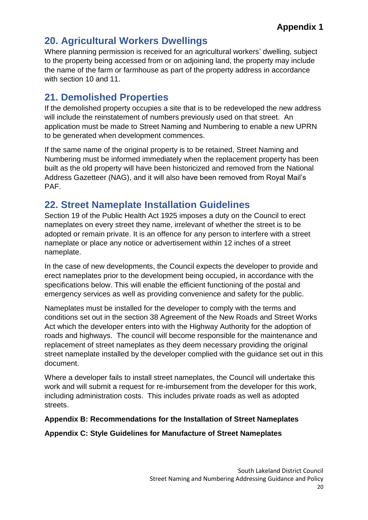#### <span id="page-19-0"></span>**20. Agricultural Workers Dwellings**

Where planning permission is received for an agricultural workers' dwelling, subject to the property being accessed from or on adjoining land, the property may include the name of the farm or farmhouse as part of the property address in accordance with section 10 and 11.

### <span id="page-19-1"></span>**21. Demolished Properties**

If the demolished property occupies a site that is to be redeveloped the new address will include the reinstatement of numbers previously used on that street. An application must be made to Street Naming and Numbering to enable a new UPRN to be generated when development commences.

If the same name of the original property is to be retained, Street Naming and Numbering must be informed immediately when the replacement property has been built as the old property will have been historicized and removed from the National Address Gazetteer (NAG), and it will also have been removed from Royal Mail's PAF.

#### <span id="page-19-2"></span>**22. Street Nameplate Installation Guidelines**

Section 19 of the Public Health Act 1925 imposes a duty on the Council to erect nameplates on every street they name, irrelevant of whether the street is to be adopted or remain private. It is an offence for any person to interfere with a street nameplate or place any notice or advertisement within 12 inches of a street nameplate.

In the case of new developments, the Council expects the developer to provide and erect nameplates prior to the development being occupied**,** in accordance with the specifications below. This will enable the efficient functioning of the postal and emergency services as well as providing convenience and safety for the public.

Nameplates must be installed for the developer to comply with the terms and conditions set out in the section 38 Agreement of the New Roads and Street Works Act which the developer enters into with the Highway Authority for the adoption of roads and highways. The council will become responsible for the maintenance and replacement of street nameplates as they deem necessary providing the original street nameplate installed by the developer complied with the guidance set out in this document.

Where a developer fails to install street nameplates, the Council will undertake this work and will submit a request for re-imbursement from the developer for this work, including administration costs. This includes private roads as well as adopted streets.

#### **Appendix B: Recommendations for the Installation of Street Nameplates**

#### **Appendix C: Style Guidelines for Manufacture of Street Nameplates**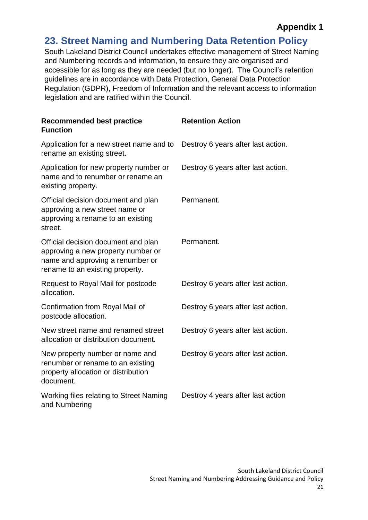#### <span id="page-20-0"></span>**23. Street Naming and Numbering Data Retention Policy**

South Lakeland District Council undertakes effective management of Street Naming and Numbering records and information, to ensure they are organised and accessible for as long as they are needed (but no longer). The Council's retention guidelines are in accordance with Data Protection, General Data Protection Regulation (GDPR), Freedom of Information and the relevant access to information legislation and are ratified within the Council.

| <b>Recommended best practice</b><br><b>Function</b>                                                                                              | <b>Retention Action</b>            |
|--------------------------------------------------------------------------------------------------------------------------------------------------|------------------------------------|
| Application for a new street name and to<br>rename an existing street.                                                                           | Destroy 6 years after last action. |
| Application for new property number or<br>name and to renumber or rename an<br>existing property.                                                | Destroy 6 years after last action. |
| Official decision document and plan<br>approving a new street name or<br>approving a rename to an existing<br>street.                            | Permanent.                         |
| Official decision document and plan<br>approving a new property number or<br>name and approving a renumber or<br>rename to an existing property. | Permanent.                         |
| Request to Royal Mail for postcode<br>allocation.                                                                                                | Destroy 6 years after last action. |
| Confirmation from Royal Mail of<br>postcode allocation.                                                                                          | Destroy 6 years after last action. |
| New street name and renamed street<br>allocation or distribution document.                                                                       | Destroy 6 years after last action. |
| New property number or name and<br>renumber or rename to an existing<br>property allocation or distribution<br>document.                         | Destroy 6 years after last action. |
| Working files relating to Street Naming<br>and Numbering                                                                                         | Destroy 4 years after last action  |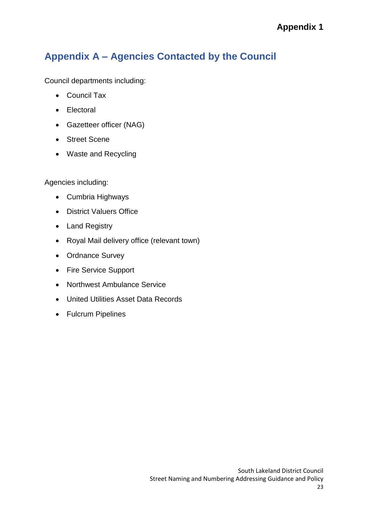# <span id="page-22-0"></span>**Appendix A – Agencies Contacted by the Council**

Council departments including:

- Council Tax
- Electoral
- Gazetteer officer (NAG)
- Street Scene
- Waste and Recycling

Agencies including:

- Cumbria Highways
- District Valuers Office
- Land Registry
- Royal Mail delivery office (relevant town)
- Ordnance Survey
- Fire Service Support
- Northwest Ambulance Service
- United Utilities Asset Data Records
- Fulcrum Pipelines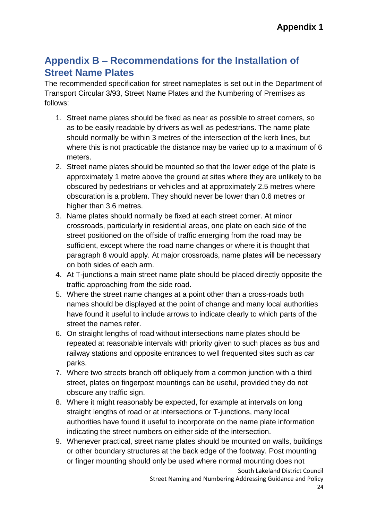## <span id="page-23-0"></span>**Appendix B – Recommendations for the Installation of Street Name Plates**

The recommended specification for street nameplates is set out in the Department of Transport Circular 3/93, Street Name Plates and the Numbering of Premises as follows:

- 1. Street name plates should be fixed as near as possible to street corners, so as to be easily readable by drivers as well as pedestrians. The name plate should normally be within 3 metres of the intersection of the kerb lines, but where this is not practicable the distance may be varied up to a maximum of 6 meters.
- 2. Street name plates should be mounted so that the lower edge of the plate is approximately 1 metre above the ground at sites where they are unlikely to be obscured by pedestrians or vehicles and at approximately 2.5 metres where obscuration is a problem. They should never be lower than 0.6 metres or higher than 3.6 metres.
- 3. Name plates should normally be fixed at each street corner. At minor crossroads, particularly in residential areas, one plate on each side of the street positioned on the offside of traffic emerging from the road may be sufficient, except where the road name changes or where it is thought that paragraph 8 would apply. At major crossroads, name plates will be necessary on both sides of each arm.
- 4. At T-junctions a main street name plate should be placed directly opposite the traffic approaching from the side road.
- 5. Where the street name changes at a point other than a cross-roads both names should be displayed at the point of change and many local authorities have found it useful to include arrows to indicate clearly to which parts of the street the names refer.
- 6. On straight lengths of road without intersections name plates should be repeated at reasonable intervals with priority given to such places as bus and railway stations and opposite entrances to well frequented sites such as car parks.
- 7. Where two streets branch off obliquely from a common junction with a third street, plates on fingerpost mountings can be useful, provided they do not obscure any traffic sign.
- 8. Where it might reasonably be expected, for example at intervals on long straight lengths of road or at intersections or T-junctions, many local authorities have found it useful to incorporate on the name plate information indicating the street numbers on either side of the intersection.
- 9. Whenever practical, street name plates should be mounted on walls, buildings or other boundary structures at the back edge of the footway. Post mounting or finger mounting should only be used where normal mounting does not

South Lakeland District Council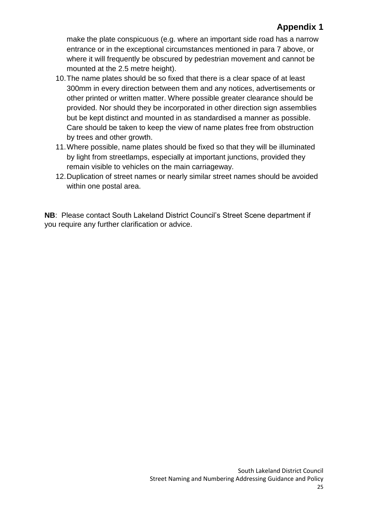make the plate conspicuous (e.g. where an important side road has a narrow entrance or in the exceptional circumstances mentioned in para 7 above, or where it will frequently be obscured by pedestrian movement and cannot be mounted at the 2.5 metre height).

- 10.The name plates should be so fixed that there is a clear space of at least 300mm in every direction between them and any notices, advertisements or other printed or written matter. Where possible greater clearance should be provided. Nor should they be incorporated in other direction sign assemblies but be kept distinct and mounted in as standardised a manner as possible. Care should be taken to keep the view of name plates free from obstruction by trees and other growth.
- 11.Where possible, name plates should be fixed so that they will be illuminated by light from streetlamps, especially at important junctions, provided they remain visible to vehicles on the main carriageway.
- 12.Duplication of street names or nearly similar street names should be avoided within one postal area.

**NB**: Please contact South Lakeland District Council's Street Scene department if you require any further clarification or advice.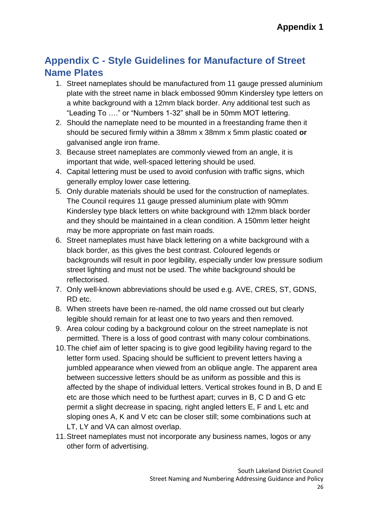## <span id="page-25-0"></span>**Appendix C - Style Guidelines for Manufacture of Street Name Plates**

- 1. Street nameplates should be manufactured from 11 gauge pressed aluminium plate with the street name in black embossed 90mm Kindersley type letters on a white background with a 12mm black border. Any additional test such as "Leading To …." or "Numbers 1-32" shall be in 50mm MOT lettering.
- 2. Should the nameplate need to be mounted in a freestanding frame then it should be secured firmly within a 38mm x 38mm x 5mm plastic coated **or**  galvanised angle iron frame.
- 3. Because street nameplates are commonly viewed from an angle, it is important that wide, well-spaced lettering should be used.
- 4. Capital lettering must be used to avoid confusion with traffic signs, which generally employ lower case lettering.
- 5. Only durable materials should be used for the construction of nameplates. The Council requires 11 gauge pressed aluminium plate with 90mm Kindersley type black letters on white background with 12mm black border and they should be maintained in a clean condition. A 150mm letter height may be more appropriate on fast main roads.
- 6. Street nameplates must have black lettering on a white background with a black border, as this gives the best contrast. Coloured legends or backgrounds will result in poor legibility, especially under low pressure sodium street lighting and must not be used. The white background should be reflectorised.
- 7. Only well-known abbreviations should be used e.g. AVE, CRES, ST, GDNS, RD etc.
- 8. When streets have been re-named, the old name crossed out but clearly legible should remain for at least one to two years and then removed.
- 9. Area colour coding by a background colour on the street nameplate is not permitted. There is a loss of good contrast with many colour combinations.
- 10.The chief aim of letter spacing is to give good legibility having regard to the letter form used. Spacing should be sufficient to prevent letters having a jumbled appearance when viewed from an oblique angle. The apparent area between successive letters should be as uniform as possible and this is affected by the shape of individual letters. Vertical strokes found in B, D and E etc are those which need to be furthest apart; curves in B, C D and G etc permit a slight decrease in spacing, right angled letters E, F and L etc and sloping ones A, K and V etc can be closer still; some combinations such at LT, LY and VA can almost overlap.
- 11.Street nameplates must not incorporate any business names, logos or any other form of advertising.